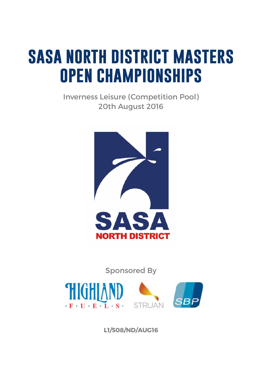# **sasa north district masters open championships**

Inverness Leisure (Competition Pool) 20th August 2016



Sponsored By



**L1/508/ND/AUG16**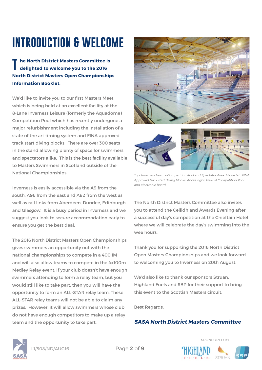# **INTRODUCTION & WELCOME**

**he North District Masters Committee is delighted to welcome you to the 2016 North District Masters Open Championships Information Booklet. T**

We'd like to invite you to our first Masters Meet which is being held at an excellent facility at the 8-Lane Inverness Leisure (formerly the Aquadome) Competition Pool which has recently undergone a major refurbishment including the installation of a state of the art timing system and FINA approved track start diving blocks. There are over 300 seats in the stand allowing plenty of space for swimmers and spectators alike. This is the best facility available to Masters Swimmers in Scotland outside of the National Championships.

Inverness is easily accessible via the A9 from the south, A96 from the east and A82 from the west as well as rail links from Aberdeen, Dundee, Edinburgh and Glasgow. It is a busy period in Inverness and we suggest you look to secure accommodation early to ensure you get the best deal.

The 2016 North District Masters Open Championships gives swimmers an opportunity out with the national championships to compete in a 400 IM and will also allow teams to compete in the 4x100m Medley Relay event. If your club doesn't have enough swimmers attending to form a relay team, but you would still like to take part, then you will have the opportunity to form an ALL-STAR relay team. These ALL-STAR relay teams will not be able to claim any prizes. However, it will allow swimmers whose club do not have enough competitors to make up a relay team and the opportunity to take part.





Top: Inverness Leisure Competition Pool and Spectator Area. Above left: FINA Approved track start diving blocks. Above right: View of Competition Pool and electronic board.

The North District Masters Committee also invites you to attend the Ceilidh and Awards Evening after a successful day's competition at the Chieftain Hotel where we will celebrate the day's swimming into the wee hours.

Thank you for supporting the 2016 North District Open Masters Championships and we look forward to welcoming you to Inverness on 20th August.

We'd also like to thank our sponsors Struan, Highland Fuels and SBP for their support to bring this event to the Scottish Masters circuit.

Best Regards,

#### **SASA North District Masters Committee**



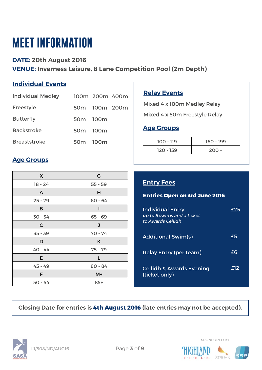# **MEET INFORMATION**

### **DATE: 20th August 2016**

**VENUE: Inverness Leisure, 8 Lane Competition Pool (2m Depth)**

## **Individual Events**

| <b>Individual Medley</b> |                                  | 100m 200m 400m |  |
|--------------------------|----------------------------------|----------------|--|
| Freestyle                |                                  | 50m 100m 200m  |  |
| <b>Butterfly</b>         | 50 <sub>m</sub> 100 <sub>m</sub> |                |  |
| <b>Backstroke</b>        | 50 <sub>m</sub> 100 <sub>m</sub> |                |  |
| <b>Breaststroke</b>      | 50 $m$                           | 100m           |  |

#### **Relay Events**

Mixed 4 x 100m Medley Relay

Mixed 4 x 50m Freestyle Relay

#### **Age Groups**

| $100 - 119$ | $160 - 199$ |
|-------------|-------------|
| $120 - 159$ | $200 +$     |

#### **Age Groups**

| X            | G         |  |  |
|--------------|-----------|--|--|
| $18 - 24$    | $55 - 59$ |  |  |
| A            | н         |  |  |
| $25 - 29$    | $60 - 64$ |  |  |
| B            | ı         |  |  |
| $30 - 34$    | $65 - 69$ |  |  |
| $\mathsf{C}$ | J         |  |  |
| $35 - 39$    | $70 - 74$ |  |  |
| D            | K         |  |  |
| $40 - 44$    | $75 - 79$ |  |  |
| E            | L         |  |  |
| 45 - 49      | $80 - 84$ |  |  |
| F            | $M+$      |  |  |
| $50 - 54$    | $85+$     |  |  |

### **Entry Fees**

to Awards Ceilidh

| <b>Entries Open on 3rd June 2016</b>                  |     |
|-------------------------------------------------------|-----|
| <b>Individual Entry</b><br>up to 5 swims and a ticket | £25 |

| <b>Additional Swim(s)</b>                            | £5  |
|------------------------------------------------------|-----|
| <b>Relay Entry (per team)</b>                        | £6  |
| <b>Ceilidh &amp; Awards Evening</b><br>(ticket only) | £12 |

**Closing Date for entries is 4th August 2016 (late entries may not be accepted).**



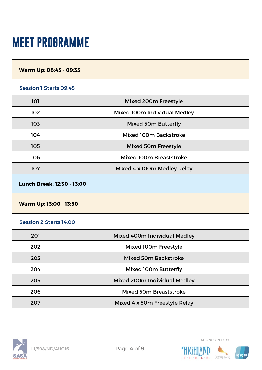# **MEET PROGRAMME**

| Warm Up: 08:45 - 09:35        |                                     |  |
|-------------------------------|-------------------------------------|--|
| <b>Session 1 Starts 09:45</b> |                                     |  |
| 101                           | Mixed 200m Freestyle                |  |
| 102                           | Mixed 100m Individual Medley        |  |
| 103                           | <b>Mixed 50m Butterfly</b>          |  |
| 104                           | <b>Mixed 100m Backstroke</b>        |  |
| 105                           | <b>Mixed 50m Freestyle</b>          |  |
| 106                           | <b>Mixed 100m Breaststroke</b>      |  |
| 107                           | Mixed 4 x 100m Medley Relay         |  |
| Lunch Break: 12:30 - 13:00    |                                     |  |
| <b>Warm Up: 13:00 - 13:50</b> |                                     |  |
| <b>Session 2 Starts 14:00</b> |                                     |  |
| 201                           | <b>Mixed 400m Individual Medley</b> |  |
| 202                           | Mixed 100m Freestyle                |  |
| 203                           | <b>Mixed 50m Backstroke</b>         |  |
| 204                           | Mixed 100m Butterfly                |  |
| 205                           | Mixed 200m Individual Medley        |  |
| 206                           | <b>Mixed 50m Breaststroke</b>       |  |
| 207                           | Mixed 4 x 50m Freestyle Relay       |  |

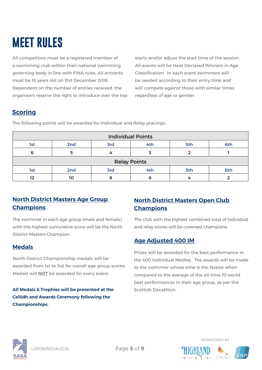# **MEET RULES**

All competitors must be a registered member of a swimming club within their national swimming governing body in line with FINA rules. All entrants must be 18 years old on 31st December 2016. Dependent on the number of entries received, the organisers reserve the right to introduce over the top starts and/or adjust the start time of the session. All events will be Heat Declared Winners in Age Classification. In each event swimmers will be seeded according to their entry time and will compete against those with similar times regardless of age or gender.

### **Scoring**

| <b>Individual Points</b> |     |     |     |     |     |
|--------------------------|-----|-----|-----|-----|-----|
| 1st                      | 2nd | 3rd | 4th | 5th | 6th |
| 6                        |     |     |     |     |     |
| <b>Relay Points</b>      |     |     |     |     |     |
| 1st                      | 2nd | 3rd | 4th | 5th | 6th |
| 12                       | 10  | Ω   |     |     |     |

The following points will be awarded for Individual and Relay placings:

### **North District Masters Age Group Champions**

The swimmer in each age group (male and female) with the highest cumulative score will be the North District Masters Champion.

#### **Medals**

North District Championship medals will be awarded from 1st to 3rd for overall age group scores. Medals will **NOT** be awarded for every event.

All Medals & Trophies will be presented at the **Scottish Decathlon**. **Ceilidh and Awards Ceremony following the Championships.** 

## **North District Masters Open Club Champions**

The club with the highest combined total of individual and relay scores will be crowned champions.

### **Age Adjusted 400 IM**

Prizes will be awarded for the best performance in the 400 Individual Medley. The awards will be made to the swimmer whose time is the fastest when compared to the average of the all-time 10 world best performances in their age group, as per the





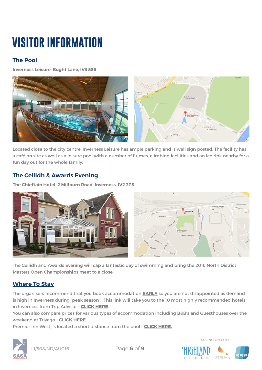# **VISITOR INFORMATION**

# **The Pool**

**Inverness Leisure, Bught Lane, IV3 5SS**



Located close to the city centre, Inverness Leisure has ample parking and is well sign posted. The facility has a café on site as well as a leisure pool with a number of flumes, climbing facilities and an ice rink nearby for a fun day out for the whole family.

### **The Ceilidh & Awards Evening**

**The Chieftain Hotel, 2 Millburn Road, Inverness, IV2 3PS**



The Ceilidh and Awards Evening will cap a fantastic day of swimming and bring the 2016 North District Masters Open Championships meet to a close.

### **Where To Stay**

The organisers recommend that you book accommodation **EARLY** so you are not disappointed as demand is high in Inverness during "peak season". This link will take you to the 10 most highly recommended hotels in Inverness from Trip Advisor - **[CLICK HERE](https://www.tripadvisor.co.uk/Hotels-g186543-Inverness_Scottish_Highlands_Scotland-Hotels.html)**.

You can also compare prices for various types of accommodation including B&B's and Guesthouses over the weekend at Trivago - **[CLICK HERE.](http://www.trivago.co.uk)**

Premier Inn West, is located a short distance from the pool - **[CLICK HERE.](http://www.premierinn.com/gb/en/search.html?searchModel.searchTerm=Inverness%20West&INNID=INVSOU&ARRdd=19&ARRmm=08&ARRyyyy=2016&NIGHTS=2&ROOMS=1&ADULT1=1&CHILD1=0&COT1=0&INTTYP1=DB&SID=4&ISH=true&BRAND=PI)**



L1/508/ND/AUG16

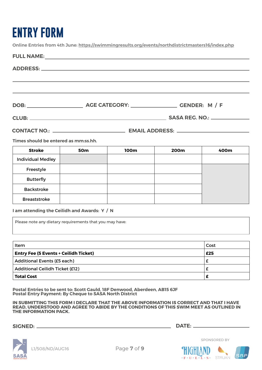# **ENTRY FORM**

Freestyle

Butterfly

Backstroke

Breaststroke

**I am attending the Ceilidh and Awards: Y / N**

Please note any dietary requirements that you may have:

**Online Entries from 4th June:<https://swimmingresults.org/events/northdistrictmasters16/index.php>**

| Times should be entered as mm:ss.hh. |      |      |      |  |
|--------------------------------------|------|------|------|--|
| <b>50m</b>                           | 100m | 200m | 400m |  |
|                                      |      |      |      |  |
|                                      |      |      |      |  |

| Item                                         | Cost |
|----------------------------------------------|------|
| <b>Entry Fee (5 Events + Ceilidh Ticket)</b> | £25  |
| <b>Additional Events (£5 each)</b>           |      |
| <b>Additional Ceilidh Ticket (£12)</b>       |      |
| <b>Total Cost</b>                            |      |

**Postal Entries to be sent to: Scott Gauld, 18F Denwood, Aberdeen, AB15 6JF Postal Entry Payment: By Cheque to SASA North District**

**IN SUBMITTING THIS FORM I DECLARE THAT THE ABOVE INFORMATION IS CORRECT AND THAT I HAVE READ, UNDERSTOOD AND AGREE TO ABIDE BY THE CONDITIONS OF THIS SWIM MEET AS OUTLINED IN THE INFORMATION PACK.**

#### **SIGNED: DATE:**

 $\cdot$  F  $\cdot$  U  $\cdot$  E  $\cdot$  L  $\cdot$  S  $\cdot$ 

SPONSORED BY

STRUAN



L1/508/ND/AUG16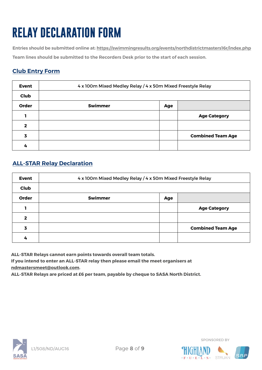# **RELAY DECLARATION FORM**

**Entries should be submitted online at:<https://swimmingresults.org/events/northdistrictmasters16r/index.php> Team lines should be submitted to the Recorders Desk prior to the start of each session.**

### **Club Entry Form**

| <b>Event</b> |                | 4 x 100m Mixed Medley Relay / 4 x 50m Mixed Freestyle Relay |                          |  |
|--------------|----------------|-------------------------------------------------------------|--------------------------|--|
| <b>Club</b>  |                |                                                             |                          |  |
| Order        | <b>Swimmer</b> | Age                                                         |                          |  |
|              |                |                                                             | <b>Age Category</b>      |  |
| $\mathbf{2}$ |                |                                                             |                          |  |
| 3            |                |                                                             | <b>Combined Team Age</b> |  |
| 4            |                |                                                             |                          |  |

#### **ALL-STAR Relay Declaration**

| <b>Event</b> |                | 4 x 100m Mixed Medley Relay / 4 x 50m Mixed Freestyle Relay |                          |  |
|--------------|----------------|-------------------------------------------------------------|--------------------------|--|
| <b>Club</b>  |                |                                                             |                          |  |
| Order        | <b>Swimmer</b> | Age                                                         |                          |  |
| п            |                |                                                             | <b>Age Category</b>      |  |
| 2            |                |                                                             |                          |  |
| 3            |                |                                                             | <b>Combined Team Age</b> |  |
| 4            |                |                                                             |                          |  |

**ALL-STAR Relays cannot earn points towards overall team totals.** 

**If you intend to enter an ALL-STAR relay then please email the meet organisers at ndmastersmeet@outlook.com.** 

**ALL-STAR Relays are priced at £6 per team, payable by cheque to SASA North District.**